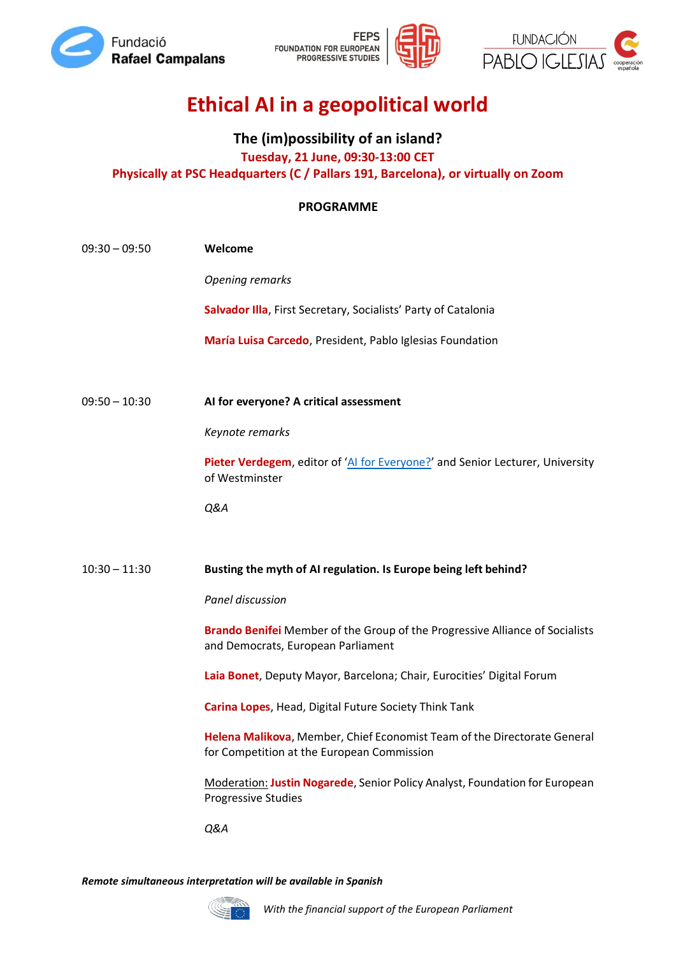





# **Ethical AI in a geopolitical world**

## **The (im)possibility of an island? Tuesday, 21 June, 09:30-13:00 CET Physically at PSC Headquarters (C / Pallars 191, Barcelona), or virtually on Zoom**

### **PROGRAMME**

| $09:30 - 09:50$ | Welcome                                                                                                                   |
|-----------------|---------------------------------------------------------------------------------------------------------------------------|
|                 | <b>Opening remarks</b>                                                                                                    |
|                 | Salvador Illa, First Secretary, Socialists' Party of Catalonia                                                            |
|                 | María Luisa Carcedo, President, Pablo Iglesias Foundation                                                                 |
|                 |                                                                                                                           |
| $09:50 - 10:30$ | AI for everyone? A critical assessment                                                                                    |
|                 | Keynote remarks                                                                                                           |
|                 | Pieter Verdegem, editor of 'AI for Everyone?' and Senior Lecturer, University<br>of Westminster                           |
|                 | Q&A                                                                                                                       |
|                 |                                                                                                                           |
| $10:30 - 11:30$ | Busting the myth of AI regulation. Is Europe being left behind?                                                           |
|                 | Panel discussion                                                                                                          |
|                 |                                                                                                                           |
|                 | <b>Brando Benifei</b> Member of the Group of the Progressive Alliance of Socialists<br>and Democrats, European Parliament |
|                 | Laia Bonet, Deputy Mayor, Barcelona; Chair, Eurocities' Digital Forum                                                     |
|                 | Carina Lopes, Head, Digital Future Society Think Tank                                                                     |
|                 | Helena Malikova, Member, Chief Economist Team of the Directorate General<br>for Competition at the European Commission    |
|                 | Moderation: Justin Nogarede, Senior Policy Analyst, Foundation for European<br><b>Progressive Studies</b>                 |

*Remote simultaneous interpretation will be available in Spanish*